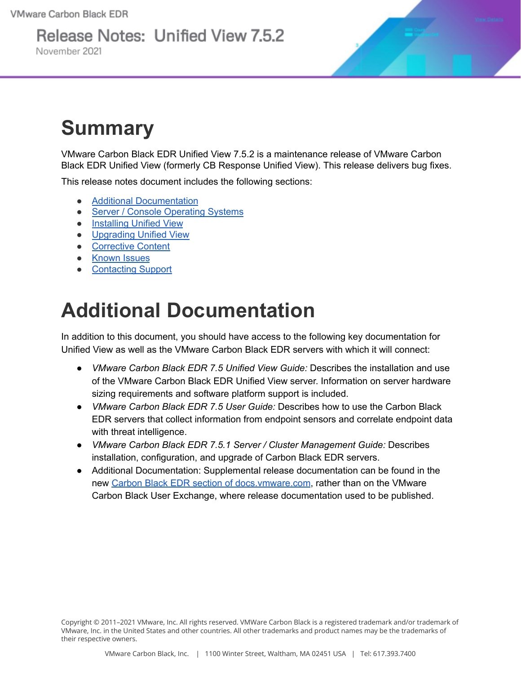# Release Notes: Unified View 7.5.2

November 2021



## **Summary**

VMware Carbon Black EDR Unified View 7.5.2 is a maintenance release of VMware Carbon Black EDR Unified View (formerly CB Response Unified View). This release delivers bug fixes.

This release notes document includes the following sections:

- Additional [Documentation](#page-0-0)
- Server / Console [Operating](#page-1-0) Systems
- **•** [Installing](#page-2-0) Unified View
- [Upgrading](#page-3-0) Unified View
- [Corrective](#page-3-1) Content
- [Known](#page-3-2) Issues
- [Contacting](#page-4-0) Support

## <span id="page-0-0"></span>**Additional Documentation**

In addition to this document, you should have access to the following key documentation for Unified View as well as the VMware Carbon Black EDR servers with which it will connect:

- *VMware Carbon Black EDR 7.5 Unified View Guide:* Describes the installation and use of the VMware Carbon Black EDR Unified View server. Information on server hardware sizing requirements and software platform support is included.
- *VMware Carbon Black EDR 7.5 User Guide:* Describes how to use the Carbon Black EDR servers that collect information from endpoint sensors and correlate endpoint data with threat intelligence.
- *VMware Carbon Black EDR 7.5.1 Server / Cluster Management Guide:* Describes installation, configuration, and upgrade of Carbon Black EDR servers.
- Additional Documentation: Supplemental release documentation can be found in the new Carbon Black EDR section of [docs.vmware.com](https://docs.vmware.com/en/VMware-Carbon-Black-EDR/index.html), rather than on the VMware Carbon Black User Exchange, where release documentation used to be published.

Copyright © 2011–2021 VMware, Inc. All rights reserved. VMWare Carbon Black is a registered trademark and/or trademark of VMware, Inc. in the United States and other countries. All other trademarks and product names may be the trademarks of their respective owners.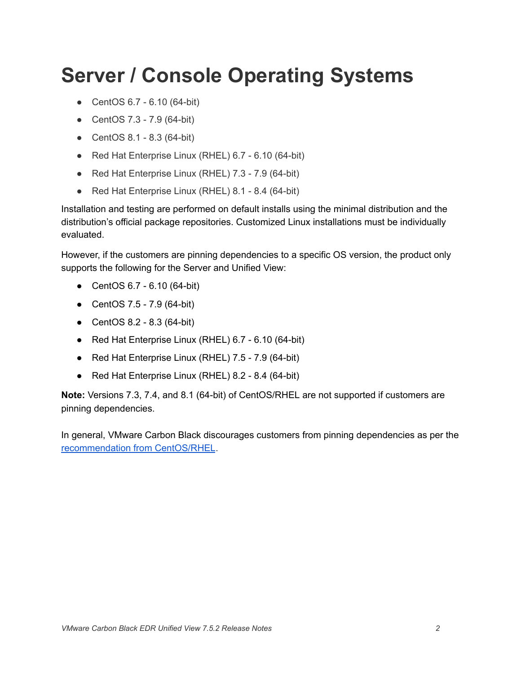## <span id="page-1-0"></span>**Server / Console Operating Systems**

- CentOS 6.7 6.10 (64-bit)
- CentOS 7.3 7.9 (64-bit)
- CentOS 8.1 8.3 (64-bit)
- Red Hat Enterprise Linux (RHEL) 6.7 6.10 (64-bit)
- Red Hat Enterprise Linux (RHEL) 7.3 7.9 (64-bit)
- Red Hat Enterprise Linux (RHEL) 8.1 8.4 (64-bit)

Installation and testing are performed on default installs using the minimal distribution and the distribution's official package repositories. Customized Linux installations must be individually evaluated.

However, if the customers are pinning dependencies to a specific OS version, the product only supports the following for the Server and Unified View:

- CentOS 6.7 6.10 (64-bit)
- CentOS 7.5 7.9 (64-bit)
- CentOS 8.2 8.3 (64-bit)
- Red Hat Enterprise Linux (RHEL) 6.7 6.10 (64-bit)
- Red Hat Enterprise Linux (RHEL) 7.5 7.9 (64-bit)
- Red Hat Enterprise Linux (RHEL) 8.2 8.4 (64-bit)

**Note:** Versions 7.3, 7.4, and 8.1 (64-bit) of CentOS/RHEL are not supported if customers are pinning dependencies.

In general, VMware Carbon Black discourages customers from pinning dependencies as per the [recommendation](https://wiki.centos.org/FAQ/General#How_does_CentOS_versioning_work.3F) from CentOS/RHEL.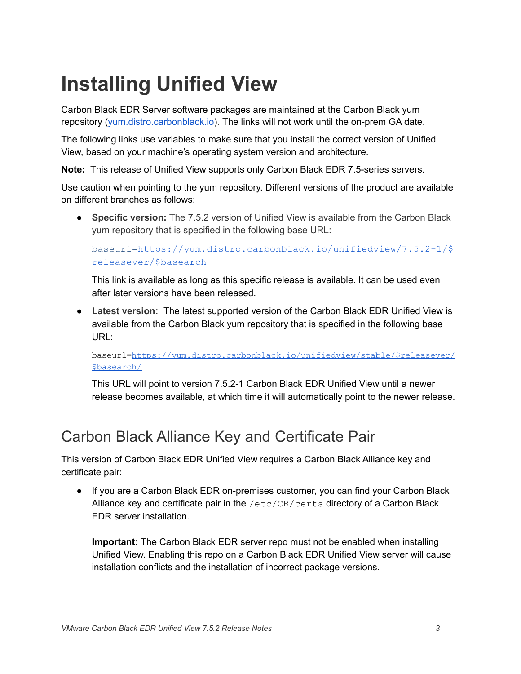# <span id="page-2-0"></span>**Installing Unified View**

Carbon Black EDR Server software packages are maintained at the Carbon Black yum repository ([yum.distro.carbonblack.io\)](http://yum.distro.carbonblack.io/). The links will not work until the on-prem GA date.

The following links use variables to make sure that you install the correct version of Unified View, based on your machine's operating system version and architecture.

**Note:** This release of Unified View supports only Carbon Black EDR 7.5-series servers.

Use caution when pointing to the yum repository. Different versions of the product are available on different branches as follows:

● **Specific version:** The 7.5.2 version of Unified View is available from the Carbon Black yum repository that is specified in the following base URL:

baseurl=[https://yum.distro.carbonblack.io/unifiedview/7.5.2-1/\\$](https://yum.distro.carbonblack.io/enterprise/7.5.2-1/$releasever/$basearch) [releasever/\\$basearch](https://yum.distro.carbonblack.io/enterprise/7.5.2-1/$releasever/$basearch)

This link is available as long as this specific release is available. It can be used even after later versions have been released.

● **Latest version:** The latest supported version of the Carbon Black EDR Unified View is available from the Carbon Black yum repository that is specified in the following base URL:

baseurl=[https://yum.distro.carbonblack.io/unifiedview/stable/\\$releasever/](https://yum.distro.carbonblack.io/unifiedview/stable/$releasever/$basearch/) [\\$basearch/](https://yum.distro.carbonblack.io/unifiedview/stable/$releasever/$basearch/)

This URL will point to version 7.5.2-1 Carbon Black EDR Unified View until a newer release becomes available, at which time it will automatically point to the newer release.

#### Carbon Black Alliance Key and Certificate Pair

This version of Carbon Black EDR Unified View requires a Carbon Black Alliance key and certificate pair:

● If you are a Carbon Black EDR on-premises customer, you can find your Carbon Black Alliance key and certificate pair in the /etc/CB/certs directory of a Carbon Black EDR server installation.

**Important:** The Carbon Black EDR server repo must not be enabled when installing Unified View. Enabling this repo on a Carbon Black EDR Unified View server will cause installation conflicts and the installation of incorrect package versions.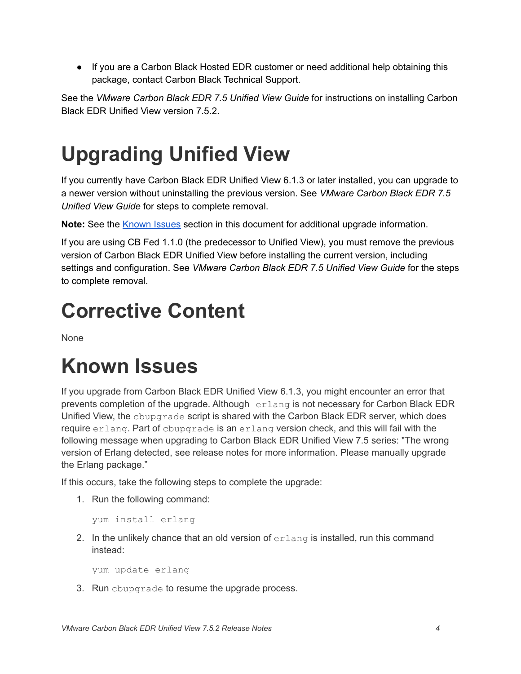● If you are a Carbon Black Hosted EDR customer or need additional help obtaining this package, contact Carbon Black Technical Support.

See the *VMware Carbon Black EDR 7.5 Unified View Guide* for instructions on installing Carbon Black EDR Unified View version 7.5.2.

# <span id="page-3-0"></span>**Upgrading Unified View**

If you currently have Carbon Black EDR Unified View 6.1.3 or later installed, you can upgrade to a newer version without uninstalling the previous version. See *VMware Carbon Black EDR 7.5 Unified View Guide* for steps to complete removal.

Note: See the **[Known](#page-3-1) Issues** section in this document for additional upgrade information.

If you are using CB Fed 1.1.0 (the predecessor to Unified View), you must remove the previous version of Carbon Black EDR Unified View before installing the current version, including settings and configuration. See *VMware Carbon Black EDR 7.5 Unified View Guide* for the steps to complete removal.

### <span id="page-3-1"></span>**Corrective Content**

<span id="page-3-2"></span>None

## **Known Issues**

If you upgrade from Carbon Black EDR Unified View 6.1.3, you might encounter an error that prevents completion of the upgrade. Although erlang is not necessary for Carbon Black EDR Unified View, the cbupgrade script is shared with the Carbon Black EDR server, which does require erlang. Part of cbupgrade is an erlang version check, and this will fail with the following message when upgrading to Carbon Black EDR Unified View 7.5 series: "The wrong version of Erlang detected, see release notes for more information. Please manually upgrade the Erlang package."

If this occurs, take the following steps to complete the upgrade:

1. Run the following command:

yum install erlang

2. In the unlikely chance that an old version of  $erlang$  is installed, run this command instead:

yum update erlang

3. Run cbupgrade to resume the upgrade process.